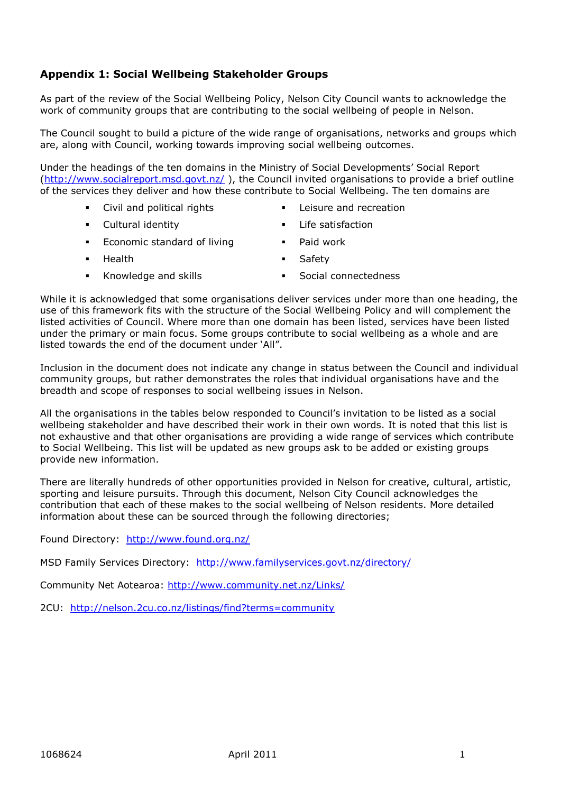### **Appendix 1: Social Wellbeing Stakeholder Groups**

As part of the review of the Social Wellbeing Policy, Nelson City Council wants to acknowledge the work of community groups that are contributing to the social wellbeing of people in Nelson.

The Council sought to build a picture of the wide range of organisations, networks and groups which are, along with Council, working towards improving social wellbeing outcomes.

Under the headings of the ten domains in the Ministry of Social Developments" Social Report [\(http://www.socialreport.msd.govt.nz/](http://www.socialreport.msd.govt.nz/)), the Council invited organisations to provide a brief outline of the services they deliver and how these contribute to Social Wellbeing. The ten domains are

- 
- Civil and political rights Leisure and recreation
- Cultural identity Life satisfaction
- 
- **Economic standard of living Theory Constructs** Paid work
- **Health Safety**
- 
- Knowledge and skills **Example 20** Social connectedness
- 

While it is acknowledged that some organisations deliver services under more than one heading, the use of this framework fits with the structure of the Social Wellbeing Policy and will complement the listed activities of Council. Where more than one domain has been listed, services have been listed under the primary or main focus. Some groups contribute to social wellbeing as a whole and are listed towards the end of the document under "All".

Inclusion in the document does not indicate any change in status between the Council and individual community groups, but rather demonstrates the roles that individual organisations have and the breadth and scope of responses to social wellbeing issues in Nelson.

All the organisations in the tables below responded to Council"s invitation to be listed as a social wellbeing stakeholder and have described their work in their own words. It is noted that this list is not exhaustive and that other organisations are providing a wide range of services which contribute to Social Wellbeing. This list will be updated as new groups ask to be added or existing groups provide new information.

There are literally hundreds of other opportunities provided in Nelson for creative, cultural, artistic, sporting and leisure pursuits. Through this document, Nelson City Council acknowledges the contribution that each of these makes to the social wellbeing of Nelson residents. More detailed information about these can be sourced through the following directories;

Found Directory: <http://www.found.org.nz/>

MSD Family Services Directory: <http://www.familyservices.govt.nz/directory/>

Community Net Aotearoa:<http://www.community.net.nz/Links/>

2CU: <http://nelson.2cu.co.nz/listings/find?terms=community>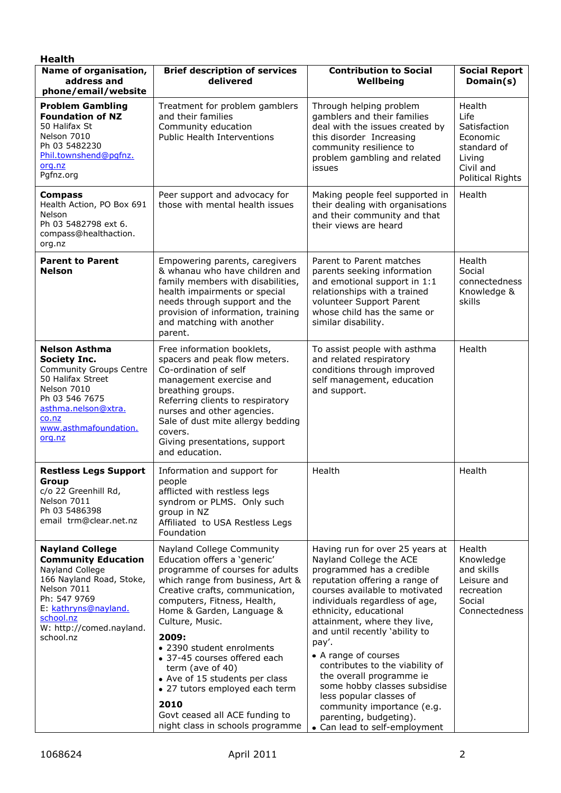| <b>Health</b>                                                                                                                                                                                                    |                                                                                                                                                                                                                                                                                                                                                                                                                                                                                                |                                                                                                                                                                                                                                                                                                                                                                                                                                                                                                                                               |                                                                                                             |
|------------------------------------------------------------------------------------------------------------------------------------------------------------------------------------------------------------------|------------------------------------------------------------------------------------------------------------------------------------------------------------------------------------------------------------------------------------------------------------------------------------------------------------------------------------------------------------------------------------------------------------------------------------------------------------------------------------------------|-----------------------------------------------------------------------------------------------------------------------------------------------------------------------------------------------------------------------------------------------------------------------------------------------------------------------------------------------------------------------------------------------------------------------------------------------------------------------------------------------------------------------------------------------|-------------------------------------------------------------------------------------------------------------|
| Name of organisation,<br>address and<br>phone/email/website                                                                                                                                                      | <b>Brief description of services</b><br>delivered                                                                                                                                                                                                                                                                                                                                                                                                                                              | <b>Contribution to Social</b><br>Wellbeing                                                                                                                                                                                                                                                                                                                                                                                                                                                                                                    | <b>Social Report</b><br>Domain(s)                                                                           |
| <b>Problem Gambling</b><br><b>Foundation of NZ</b><br>50 Halifax St<br>Nelson 7010<br>Ph 03 5482230<br>Phil.townshend@pgfnz.<br>org.nz<br>Pgfnz.org                                                              | Treatment for problem gamblers<br>and their families<br>Community education<br><b>Public Health Interventions</b>                                                                                                                                                                                                                                                                                                                                                                              | Through helping problem<br>gamblers and their families<br>deal with the issues created by<br>this disorder Increasing<br>community resilience to<br>problem gambling and related<br>issues                                                                                                                                                                                                                                                                                                                                                    | Health<br>Life<br>Satisfaction<br>Economic<br>standard of<br>Living<br>Civil and<br><b>Political Rights</b> |
| <b>Compass</b><br>Health Action, PO Box 691<br>Nelson<br>Ph 03 5482798 ext 6.<br>compass@healthaction.<br>org.nz                                                                                                 | Peer support and advocacy for<br>those with mental health issues                                                                                                                                                                                                                                                                                                                                                                                                                               | Making people feel supported in<br>their dealing with organisations<br>and their community and that<br>their views are heard                                                                                                                                                                                                                                                                                                                                                                                                                  | Health                                                                                                      |
| <b>Parent to Parent</b><br><b>Nelson</b>                                                                                                                                                                         | Empowering parents, caregivers<br>& whanau who have children and<br>family members with disabilities,<br>health impairments or special<br>needs through support and the<br>provision of information, training<br>and matching with another<br>parent.                                                                                                                                                                                                                                          | Parent to Parent matches<br>parents seeking information<br>and emotional support in 1:1<br>relationships with a trained<br>volunteer Support Parent<br>whose child has the same or<br>similar disability.                                                                                                                                                                                                                                                                                                                                     | Health<br>Social<br>connectedness<br>Knowledge &<br>skills                                                  |
| <b>Nelson Asthma</b><br><b>Society Inc.</b><br><b>Community Groups Centre</b><br>50 Halifax Street<br>Nelson 7010<br>Ph 03 546 7675<br>asthma.nelson@xtra.<br>co.nz<br>www.asthmafoundation.<br>org.nz           | Free information booklets,<br>spacers and peak flow meters.<br>Co-ordination of self<br>management exercise and<br>breathing groups.<br>Referring clients to respiratory<br>nurses and other agencies.<br>Sale of dust mite allergy bedding<br>covers.<br>Giving presentations, support<br>and education.                                                                                                                                                                                      | To assist people with asthma<br>and related respiratory<br>conditions through improved<br>self management, education<br>and support.                                                                                                                                                                                                                                                                                                                                                                                                          | Health                                                                                                      |
| <b>Restless Legs Support</b><br>Group<br>c/o 22 Greenhill Rd,<br>Nelson 7011<br>Ph 03 5486398<br>email trm@clear.net.nz                                                                                          | Information and support for<br>people<br>afflicted with restless legs<br>syndrom or PLMS. Only such<br>group in NZ<br>Affiliated to USA Restless Legs<br>Foundation                                                                                                                                                                                                                                                                                                                            | Health                                                                                                                                                                                                                                                                                                                                                                                                                                                                                                                                        | Health                                                                                                      |
| <b>Nayland College</b><br><b>Community Education</b><br>Nayland College<br>166 Nayland Road, Stoke,<br>Nelson 7011<br>Ph: 547 9769<br>E: kathryns@nayland.<br>school.nz<br>W: http://comed.nayland.<br>school.nz | Nayland College Community<br>Education offers a 'generic'<br>programme of courses for adults<br>which range from business, Art &<br>Creative crafts, communication,<br>computers, Fitness, Health,<br>Home & Garden, Language &<br>Culture, Music.<br>2009:<br>• 2390 student enrolments<br>• 37-45 courses offered each<br>term (ave of 40)<br>• Ave of 15 students per class<br>• 27 tutors employed each term<br>2010<br>Govt ceased all ACE funding to<br>night class in schools programme | Having run for over 25 years at<br>Nayland College the ACE<br>programmed has a credible<br>reputation offering a range of<br>courses available to motivated<br>individuals regardless of age,<br>ethnicity, educational<br>attainment, where they live,<br>and until recently 'ability to<br>pay'.<br>• A range of courses<br>contributes to the viability of<br>the overall programme ie<br>some hobby classes subsidise<br>less popular classes of<br>community importance (e.g.<br>parenting, budgeting).<br>• Can lead to self-employment | Health<br>Knowledge<br>and skills<br>Leisure and<br>recreation<br>Social<br>Connectedness                   |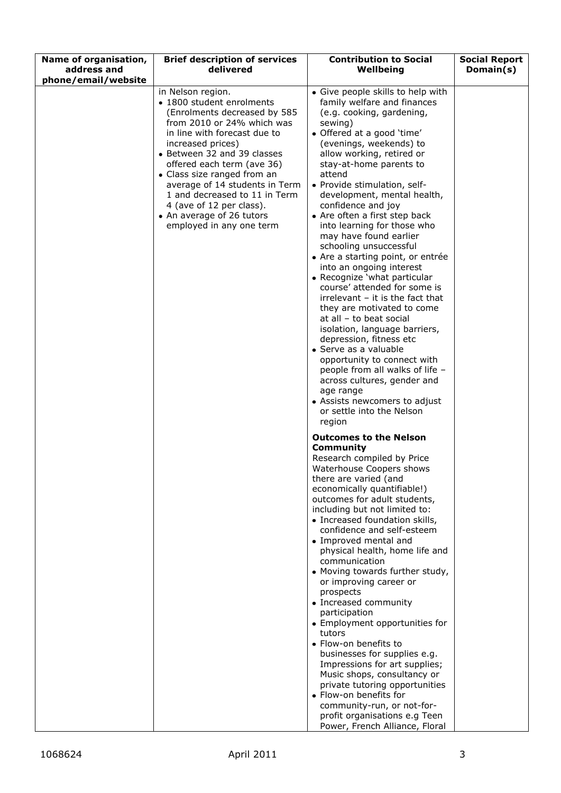| Name of organisation,              | <b>Brief description of services</b>                                                                                                                                                                                                                                                                                                                                                                                               | <b>Contribution to Social</b>                                                                                                                                                                                                                                                                                                                                                                                                                                                                                                                                                                                                                                                                                                                                                                                                                                                                                                                                                                                                                                                                                                                                                                                                                                                                                                                                                                                                                                         | <b>Social Report</b> |
|------------------------------------|------------------------------------------------------------------------------------------------------------------------------------------------------------------------------------------------------------------------------------------------------------------------------------------------------------------------------------------------------------------------------------------------------------------------------------|-----------------------------------------------------------------------------------------------------------------------------------------------------------------------------------------------------------------------------------------------------------------------------------------------------------------------------------------------------------------------------------------------------------------------------------------------------------------------------------------------------------------------------------------------------------------------------------------------------------------------------------------------------------------------------------------------------------------------------------------------------------------------------------------------------------------------------------------------------------------------------------------------------------------------------------------------------------------------------------------------------------------------------------------------------------------------------------------------------------------------------------------------------------------------------------------------------------------------------------------------------------------------------------------------------------------------------------------------------------------------------------------------------------------------------------------------------------------------|----------------------|
|                                    |                                                                                                                                                                                                                                                                                                                                                                                                                                    |                                                                                                                                                                                                                                                                                                                                                                                                                                                                                                                                                                                                                                                                                                                                                                                                                                                                                                                                                                                                                                                                                                                                                                                                                                                                                                                                                                                                                                                                       |                      |
| address and<br>phone/email/website | delivered<br>in Nelson region.<br>• 1800 student enrolments<br>(Enrolments decreased by 585<br>from 2010 or 24% which was<br>in line with forecast due to<br>increased prices)<br>• Between 32 and 39 classes<br>offered each term (ave 36)<br>• Class size ranged from an<br>average of 14 students in Term<br>1 and decreased to 11 in Term<br>4 (ave of 12 per class).<br>• An average of 26 tutors<br>employed in any one term | Wellbeing<br>• Give people skills to help with<br>family welfare and finances<br>(e.g. cooking, gardening,<br>sewing)<br>• Offered at a good 'time'<br>(evenings, weekends) to<br>allow working, retired or<br>stay-at-home parents to<br>attend<br>• Provide stimulation, self-<br>development, mental health,<br>confidence and joy<br>• Are often a first step back<br>into learning for those who<br>may have found earlier<br>schooling unsuccessful<br>• Are a starting point, or entrée<br>into an ongoing interest<br>• Recognize 'what particular<br>course' attended for some is<br>$irrelevant - it$ is the fact that<br>they are motivated to come<br>at all - to beat social<br>isolation, language barriers,<br>depression, fitness etc<br>• Serve as a valuable<br>opportunity to connect with<br>people from all walks of life -<br>across cultures, gender and<br>age range<br>• Assists newcomers to adjust<br>or settle into the Nelson<br>region<br><b>Outcomes to the Nelson</b><br>Community<br>Research compiled by Price<br>Waterhouse Coopers shows<br>there are varied (and<br>economically quantifiable!)<br>outcomes for adult students,<br>including but not limited to:<br>• Increased foundation skills,<br>confidence and self-esteem<br>• Improved mental and<br>physical health, home life and<br>communication<br>• Moving towards further study,<br>or improving career or<br>prospects<br>• Increased community<br>participation | Domain(s)            |
|                                    |                                                                                                                                                                                                                                                                                                                                                                                                                                    | • Employment opportunities for<br>tutors<br>• Flow-on benefits to<br>businesses for supplies e.g.<br>Impressions for art supplies;                                                                                                                                                                                                                                                                                                                                                                                                                                                                                                                                                                                                                                                                                                                                                                                                                                                                                                                                                                                                                                                                                                                                                                                                                                                                                                                                    |                      |
|                                    |                                                                                                                                                                                                                                                                                                                                                                                                                                    | Music shops, consultancy or<br>private tutoring opportunities<br>• Flow-on benefits for<br>community-run, or not-for-<br>profit organisations e.g Teen<br>Power, French Alliance, Floral                                                                                                                                                                                                                                                                                                                                                                                                                                                                                                                                                                                                                                                                                                                                                                                                                                                                                                                                                                                                                                                                                                                                                                                                                                                                              |                      |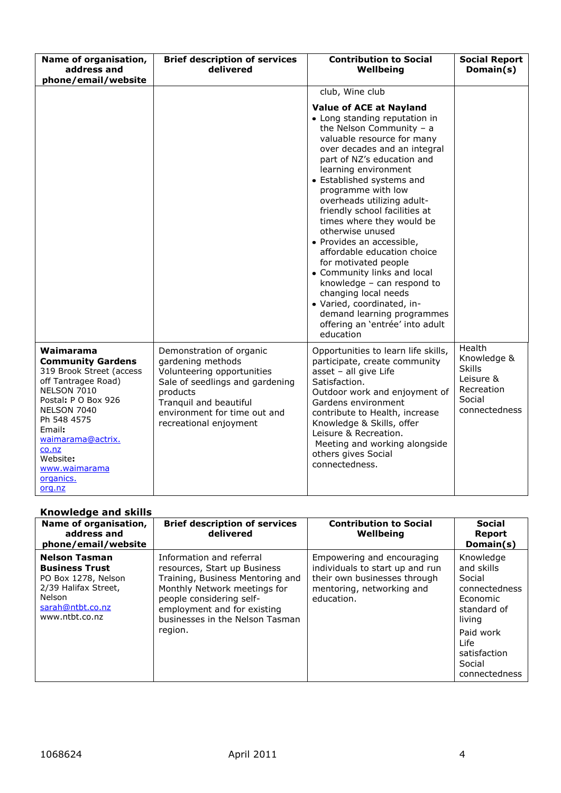| Name of organisation,<br>address and<br>phone/email/website                                                                                                                                                                                              | <b>Brief description of services</b><br>delivered                                                                                                                                                              | <b>Contribution to Social</b><br>Wellbeing                                                                                                                                                                                                                                                                                                                                                                                                                                                                                                                                                                                                                                | <b>Social Report</b><br>Domain(s)                                                            |
|----------------------------------------------------------------------------------------------------------------------------------------------------------------------------------------------------------------------------------------------------------|----------------------------------------------------------------------------------------------------------------------------------------------------------------------------------------------------------------|---------------------------------------------------------------------------------------------------------------------------------------------------------------------------------------------------------------------------------------------------------------------------------------------------------------------------------------------------------------------------------------------------------------------------------------------------------------------------------------------------------------------------------------------------------------------------------------------------------------------------------------------------------------------------|----------------------------------------------------------------------------------------------|
|                                                                                                                                                                                                                                                          |                                                                                                                                                                                                                | club, Wine club                                                                                                                                                                                                                                                                                                                                                                                                                                                                                                                                                                                                                                                           |                                                                                              |
|                                                                                                                                                                                                                                                          |                                                                                                                                                                                                                | <b>Value of ACE at Nayland</b><br>• Long standing reputation in<br>the Nelson Community $- a$<br>valuable resource for many<br>over decades and an integral<br>part of NZ's education and<br>learning environment<br>• Established systems and<br>programme with low<br>overheads utilizing adult-<br>friendly school facilities at<br>times where they would be<br>otherwise unused<br>· Provides an accessible,<br>affordable education choice<br>for motivated people<br>• Community links and local<br>knowledge - can respond to<br>changing local needs<br>· Varied, coordinated, in-<br>demand learning programmes<br>offering an 'entrée' into adult<br>education |                                                                                              |
| Waimarama<br><b>Community Gardens</b><br>319 Brook Street (access<br>off Tantragee Road)<br>NELSON 7010<br>Postal: P O Box 926<br>NELSON 7040<br>Ph 548 4575<br>Email:<br>waimarama@actrix.<br>co.nz<br>Website:<br>www.waimarama<br>organics.<br>org.nz | Demonstration of organic<br>gardening methods<br>Volunteering opportunities<br>Sale of seedlings and gardening<br>products<br>Tranguil and beautiful<br>environment for time out and<br>recreational enjoyment | Opportunities to learn life skills,<br>participate, create community<br>asset - all give Life<br>Satisfaction.<br>Outdoor work and enjoyment of<br>Gardens environment<br>contribute to Health, increase<br>Knowledge & Skills, offer<br>Leisure & Recreation.<br>Meeting and working alongside<br>others gives Social<br>connectedness.                                                                                                                                                                                                                                                                                                                                  | Health<br>Knowledge &<br><b>Skills</b><br>Leisure &<br>Recreation<br>Social<br>connectedness |

## **Knowledge and skills**

| Name of organisation,<br>address and<br>phone/email/website                                                                                  | <b>Brief description of services</b><br>delivered                                                                                                                                                                                     | <b>Contribution to Social</b><br>Wellbeing                                                                                               | <b>Social</b><br><b>Report</b><br>Domain(s)                                                                                                             |
|----------------------------------------------------------------------------------------------------------------------------------------------|---------------------------------------------------------------------------------------------------------------------------------------------------------------------------------------------------------------------------------------|------------------------------------------------------------------------------------------------------------------------------------------|---------------------------------------------------------------------------------------------------------------------------------------------------------|
| <b>Nelson Tasman</b><br><b>Business Trust</b><br>PO Box 1278, Nelson<br>2/39 Halifax Street,<br>Nelson<br>sarah@ntbt.co.nz<br>www.ntbt.co.nz | Information and referral<br>resources, Start up Business<br>Training, Business Mentoring and<br>Monthly Network meetings for<br>people considering self-<br>employment and for existing<br>businesses in the Nelson Tasman<br>region. | Empowering and encouraging<br>individuals to start up and run<br>their own businesses through<br>mentoring, networking and<br>education. | Knowledge<br>and skills<br>Social<br>connectedness<br>Economic<br>standard of<br>living<br>Paid work<br>Life<br>satisfaction<br>Social<br>connectedness |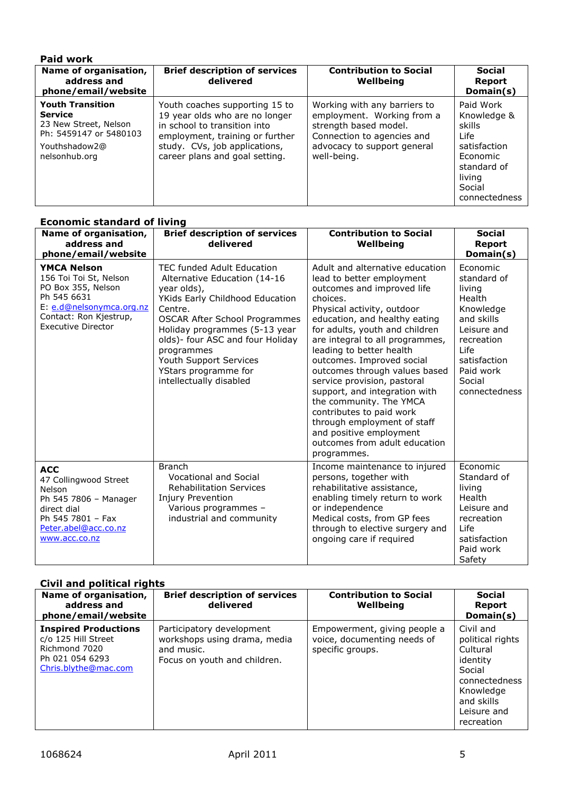| <b>Paid work</b>                                                                                                               |                                                                                                                                                                                                        |                                                                                                                                                                 |                                                                                                                            |
|--------------------------------------------------------------------------------------------------------------------------------|--------------------------------------------------------------------------------------------------------------------------------------------------------------------------------------------------------|-----------------------------------------------------------------------------------------------------------------------------------------------------------------|----------------------------------------------------------------------------------------------------------------------------|
| Name of organisation,<br>address and<br>phone/email/website                                                                    | <b>Brief description of services</b><br>delivered                                                                                                                                                      | <b>Contribution to Social</b><br>Wellbeing                                                                                                                      | <b>Social</b><br><b>Report</b><br>Domain(s)                                                                                |
| <b>Youth Transition</b><br><b>Service</b><br>23 New Street, Nelson<br>Ph: 5459147 or 5480103<br>Youthshadow2@<br>nelsonhub.org | Youth coaches supporting 15 to<br>19 year olds who are no longer<br>in school to transition into<br>employment, training or further<br>study. CVs, job applications,<br>career plans and goal setting. | Working with any barriers to<br>employment. Working from a<br>strength based model.<br>Connection to agencies and<br>advocacy to support general<br>well-being. | Paid Work<br>Knowledge &<br>skills<br>Life<br>satisfaction<br>Economic<br>standard of<br>living<br>Social<br>connectedness |

| <b>Economic standard of living</b>                                                                                                                                   |                                                                                                                                                                                                                                                                                                                                 |                                                                                                                                                                                                                                                                                                                                                                                                                                                                                                                                                                       |                                                                                                                                                                     |  |
|----------------------------------------------------------------------------------------------------------------------------------------------------------------------|---------------------------------------------------------------------------------------------------------------------------------------------------------------------------------------------------------------------------------------------------------------------------------------------------------------------------------|-----------------------------------------------------------------------------------------------------------------------------------------------------------------------------------------------------------------------------------------------------------------------------------------------------------------------------------------------------------------------------------------------------------------------------------------------------------------------------------------------------------------------------------------------------------------------|---------------------------------------------------------------------------------------------------------------------------------------------------------------------|--|
| Name of organisation,<br>address and<br>phone/email/website                                                                                                          | <b>Brief description of services</b><br>delivered                                                                                                                                                                                                                                                                               | <b>Contribution to Social</b><br>Wellbeing                                                                                                                                                                                                                                                                                                                                                                                                                                                                                                                            | <b>Social</b><br>Report<br>Domain(s)                                                                                                                                |  |
| <b>YMCA Nelson</b><br>156 Toi Toi St, Nelson<br>PO Box 355, Nelson<br>Ph 545 6631<br>E: e.d@nelsonymca.org.nz<br>Contact: Ron Kjestrup,<br><b>Executive Director</b> | TEC funded Adult Education<br>Alternative Education (14-16<br>year olds),<br>YKids Early Childhood Education<br>Centre.<br><b>OSCAR After School Programmes</b><br>Holiday programmes (5-13 year<br>olds)- four ASC and four Holiday<br>programmes<br>Youth Support Services<br>YStars programme for<br>intellectually disabled | Adult and alternative education<br>lead to better employment<br>outcomes and improved life<br>choices.<br>Physical activity, outdoor<br>education, and healthy eating<br>for adults, youth and children<br>are integral to all programmes,<br>leading to better health<br>outcomes. Improved social<br>outcomes through values based<br>service provision, pastoral<br>support, and integration with<br>the community. The YMCA<br>contributes to paid work<br>through employment of staff<br>and positive employment<br>outcomes from adult education<br>programmes. | Economic<br>standard of<br>living<br>Health<br>Knowledge<br>and skills<br>Leisure and<br>recreation<br>Life<br>satisfaction<br>Paid work<br>Social<br>connectedness |  |
| <b>ACC</b><br>47 Collingwood Street<br>Nelson<br>Ph 545 7806 - Manager<br>direct dial<br>Ph 545 7801 - Fax<br>Peter.abel@acc.co.nz<br>www.acc.co.nz                  | <b>Branch</b><br><b>Vocational and Social</b><br><b>Rehabilitation Services</b><br><b>Injury Prevention</b><br>Various programmes -<br>industrial and community                                                                                                                                                                 | Income maintenance to injured<br>persons, together with<br>rehabilitative assistance,<br>enabling timely return to work<br>or independence<br>Medical costs, from GP fees<br>through to elective surgery and<br>ongoing care if required                                                                                                                                                                                                                                                                                                                              | Economic<br>Standard of<br>living<br>Health<br>Leisure and<br>recreation<br>Life<br>satisfaction<br>Paid work<br>Safety                                             |  |

### **Civil and political rights**

| Name of organisation,<br>address and<br>phone/email/website                                                    | <b>Brief description of services</b><br>delivered                                                       | <b>Contribution to Social</b><br>Wellbeing                                      | <b>Social</b><br><b>Report</b><br>Domain(s)                                                                                              |
|----------------------------------------------------------------------------------------------------------------|---------------------------------------------------------------------------------------------------------|---------------------------------------------------------------------------------|------------------------------------------------------------------------------------------------------------------------------------------|
| <b>Inspired Productions</b><br>c/o 125 Hill Street<br>Richmond 7020<br>Ph 021 054 6293<br>Chris.blythe@mac.com | Participatory development<br>workshops using drama, media<br>and music.<br>Focus on youth and children. | Empowerment, giving people a<br>voice, documenting needs of<br>specific groups. | Civil and<br>political rights<br>Cultural<br>identity<br>Social<br>connectedness<br>Knowledge<br>and skills<br>Leisure and<br>recreation |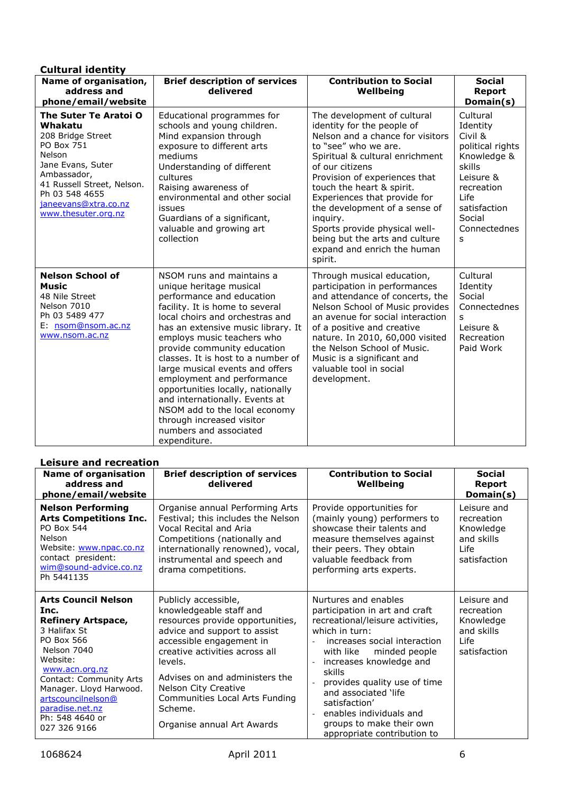| <b>Cultural identity</b>                                                                                                                                                                                         |                                                                                                                                                                                                                                                                                                                                                                                                                                                                                                                                                  |                                                                                                                                                                                                                                                                                                                                                                                                                                     |                                                                                                                                                                |
|------------------------------------------------------------------------------------------------------------------------------------------------------------------------------------------------------------------|--------------------------------------------------------------------------------------------------------------------------------------------------------------------------------------------------------------------------------------------------------------------------------------------------------------------------------------------------------------------------------------------------------------------------------------------------------------------------------------------------------------------------------------------------|-------------------------------------------------------------------------------------------------------------------------------------------------------------------------------------------------------------------------------------------------------------------------------------------------------------------------------------------------------------------------------------------------------------------------------------|----------------------------------------------------------------------------------------------------------------------------------------------------------------|
| Name of organisation,<br>address and<br>phone/email/website                                                                                                                                                      | <b>Brief description of services</b><br>delivered                                                                                                                                                                                                                                                                                                                                                                                                                                                                                                | <b>Contribution to Social</b><br>Wellbeing                                                                                                                                                                                                                                                                                                                                                                                          | <b>Social</b><br><b>Report</b><br>Domain(s)                                                                                                                    |
| The Suter Te Aratoi O<br>Whakatu<br>208 Bridge Street<br>PO Box 751<br>Nelson<br>Jane Evans, Suter<br>Ambassador,<br>41 Russell Street, Nelson.<br>Ph 03 548 4655<br>janeevans@xtra.co.nz<br>www.thesuter.org.nz | Educational programmes for<br>schools and young children.<br>Mind expansion through<br>exposure to different arts<br>mediums<br>Understanding of different<br>cultures<br>Raising awareness of<br>environmental and other social<br>issues<br>Guardians of a significant,<br>valuable and growing art<br>collection                                                                                                                                                                                                                              | The development of cultural<br>identity for the people of<br>Nelson and a chance for visitors<br>to "see" who we are.<br>Spiritual & cultural enrichment<br>of our citizens<br>Provision of experiences that<br>touch the heart & spirit.<br>Experiences that provide for<br>the development of a sense of<br>inquiry.<br>Sports provide physical well-<br>being but the arts and culture<br>expand and enrich the human<br>spirit. | Cultural<br>Identity<br>Civil &<br>political rights<br>Knowledge &<br>skills<br>Leisure &<br>recreation<br>Life<br>satisfaction<br>Social<br>Connectednes<br>S |
| <b>Nelson School of</b><br><b>Music</b><br>48 Nile Street<br>Nelson 7010<br>Ph 03 5489 477<br>E: nsom@nsom.ac.nz<br>www.nsom.ac.nz                                                                               | NSOM runs and maintains a<br>unique heritage musical<br>performance and education<br>facility. It is home to several<br>local choirs and orchestras and<br>has an extensive music library. It<br>employs music teachers who<br>provide community education<br>classes. It is host to a number of<br>large musical events and offers<br>employment and performance<br>opportunities locally, nationally<br>and internationally. Events at<br>NSOM add to the local economy<br>through increased visitor<br>numbers and associated<br>expenditure. | Through musical education,<br>participation in performances<br>and attendance of concerts, the<br>Nelson School of Music provides<br>an avenue for social interaction<br>of a positive and creative<br>nature. In 2010, 60,000 visited<br>the Nelson School of Music.<br>Music is a significant and<br>valuable tool in social<br>development.                                                                                      | Cultural<br>Identity<br>Social<br>Connectednes<br>$\mathbf{s}$<br>Leisure &<br>Recreation<br>Paid Work                                                         |

#### **Leisure and recreation**

| <b>Name of organisation</b><br>address and<br>phone/email/website                                                                                                                                                                                                            | <b>Brief description of services</b><br>delivered                                                                                                                                                                                                                                                                                 | <b>Contribution to Social</b><br>Wellbeing                                                                                                                                                                                                                                                                                                                                     | <b>Social</b><br>Report<br>Domain(s)                                         |
|------------------------------------------------------------------------------------------------------------------------------------------------------------------------------------------------------------------------------------------------------------------------------|-----------------------------------------------------------------------------------------------------------------------------------------------------------------------------------------------------------------------------------------------------------------------------------------------------------------------------------|--------------------------------------------------------------------------------------------------------------------------------------------------------------------------------------------------------------------------------------------------------------------------------------------------------------------------------------------------------------------------------|------------------------------------------------------------------------------|
| <b>Nelson Performing</b><br><b>Arts Competitions Inc.</b><br>PO Box 544<br>Nelson<br>Website: www.npac.co.nz<br>contact president:<br>wim@sound-advice.co.nz<br>Ph 5441135                                                                                                   | Organise annual Performing Arts<br>Festival; this includes the Nelson<br>Vocal Recital and Aria<br>Competitions (nationally and<br>internationally renowned), vocal,<br>instrumental and speech and<br>drama competitions.                                                                                                        | Provide opportunities for<br>(mainly young) performers to<br>showcase their talents and<br>measure themselves against<br>their peers. They obtain<br>valuable feedback from<br>performing arts experts.                                                                                                                                                                        | Leisure and<br>recreation<br>Knowledge<br>and skills<br>Life<br>satisfaction |
| <b>Arts Council Nelson</b><br>Inc.<br><b>Refinery Artspace,</b><br>3 Halifax St<br>PO Box 566<br>Nelson 7040<br>Website:<br>www.acn.org.nz<br>Contact: Community Arts<br>Manager. Lloyd Harwood.<br>artscouncilnelson@<br>paradise.net.nz<br>Ph: 548 4640 or<br>027 326 9166 | Publicly accessible,<br>knowledgeable staff and<br>resources provide opportunities,<br>advice and support to assist<br>accessible engagement in<br>creative activities across all<br>levels.<br>Advises on and administers the<br>Nelson City Creative<br>Communities Local Arts Funding<br>Scheme.<br>Organise annual Art Awards | Nurtures and enables<br>participation in art and craft<br>recreational/leisure activities,<br>which in turn:<br>increases social interaction<br>with like<br>minded people<br>increases knowledge and<br>skills<br>provides quality use of time<br>and associated 'life<br>satisfaction'<br>enables individuals and<br>groups to make their own<br>appropriate contribution to | Leisure and<br>recreation<br>Knowledge<br>and skills<br>Life<br>satisfaction |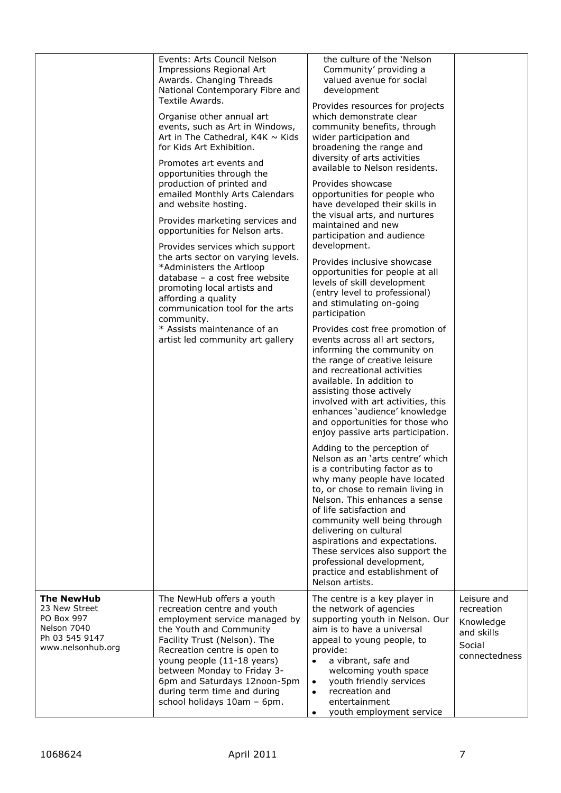|                                                                                                        | Events: Arts Council Nelson<br>Impressions Regional Art<br>Awards. Changing Threads<br>National Contemporary Fibre and<br>Textile Awards.<br>Organise other annual art<br>events, such as Art in Windows,<br>Art in The Cathedral, $K4K \sim Kids$<br>for Kids Art Exhibition.<br>Promotes art events and<br>opportunities through the<br>production of printed and<br>emailed Monthly Arts Calendars<br>and website hosting.<br>Provides marketing services and<br>opportunities for Nelson arts.<br>Provides services which support<br>the arts sector on varying levels.<br>*Administers the Artloop<br>database - a cost free website<br>promoting local artists and<br>affording a quality<br>communication tool for the arts<br>community.<br>* Assists maintenance of an<br>artist led community art gallery | the culture of the 'Nelson<br>Community' providing a<br>valued avenue for social<br>development<br>Provides resources for projects<br>which demonstrate clear<br>community benefits, through<br>wider participation and<br>broadening the range and<br>diversity of arts activities<br>available to Nelson residents.<br>Provides showcase<br>opportunities for people who<br>have developed their skills in<br>the visual arts, and nurtures<br>maintained and new<br>participation and audience<br>development.<br>Provides inclusive showcase<br>opportunities for people at all<br>levels of skill development<br>(entry level to professional)<br>and stimulating on-going<br>participation<br>Provides cost free promotion of<br>events across all art sectors,<br>informing the community on<br>the range of creative leisure<br>and recreational activities<br>available. In addition to<br>assisting those actively<br>involved with art activities, this<br>enhances 'audience' knowledge<br>and opportunities for those who<br>enjoy passive arts participation.<br>Adding to the perception of<br>Nelson as an 'arts centre' which<br>is a contributing factor as to<br>why many people have located<br>to, or chose to remain living in<br>Nelson. This enhances a sense<br>of life satisfaction and<br>community well being through<br>delivering on cultural<br>aspirations and expectations.<br>These services also support the<br>professional development,<br>practice and establishment of<br>Nelson artists. |                                                                                 |
|--------------------------------------------------------------------------------------------------------|---------------------------------------------------------------------------------------------------------------------------------------------------------------------------------------------------------------------------------------------------------------------------------------------------------------------------------------------------------------------------------------------------------------------------------------------------------------------------------------------------------------------------------------------------------------------------------------------------------------------------------------------------------------------------------------------------------------------------------------------------------------------------------------------------------------------|----------------------------------------------------------------------------------------------------------------------------------------------------------------------------------------------------------------------------------------------------------------------------------------------------------------------------------------------------------------------------------------------------------------------------------------------------------------------------------------------------------------------------------------------------------------------------------------------------------------------------------------------------------------------------------------------------------------------------------------------------------------------------------------------------------------------------------------------------------------------------------------------------------------------------------------------------------------------------------------------------------------------------------------------------------------------------------------------------------------------------------------------------------------------------------------------------------------------------------------------------------------------------------------------------------------------------------------------------------------------------------------------------------------------------------------------------------------------------------------------------------------------------------|---------------------------------------------------------------------------------|
| <b>The NewHub</b><br>23 New Street<br>PO Box 997<br>Nelson 7040<br>Ph 03 545 9147<br>www.nelsonhub.org | The NewHub offers a youth<br>recreation centre and youth<br>employment service managed by<br>the Youth and Community<br>Facility Trust (Nelson). The<br>Recreation centre is open to<br>young people (11-18 years)<br>between Monday to Friday 3-<br>6pm and Saturdays 12noon-5pm<br>during term time and during<br>school holidays 10am - 6pm.                                                                                                                                                                                                                                                                                                                                                                                                                                                                     | The centre is a key player in<br>the network of agencies<br>supporting youth in Nelson. Our<br>aim is to have a universal<br>appeal to young people, to<br>provide:<br>a vibrant, safe and<br>welcoming youth space<br>youth friendly services<br>$\bullet$<br>recreation and<br>٠<br>entertainment<br>youth employment service<br>$\bullet$                                                                                                                                                                                                                                                                                                                                                                                                                                                                                                                                                                                                                                                                                                                                                                                                                                                                                                                                                                                                                                                                                                                                                                                     | Leisure and<br>recreation<br>Knowledge<br>and skills<br>Social<br>connectedness |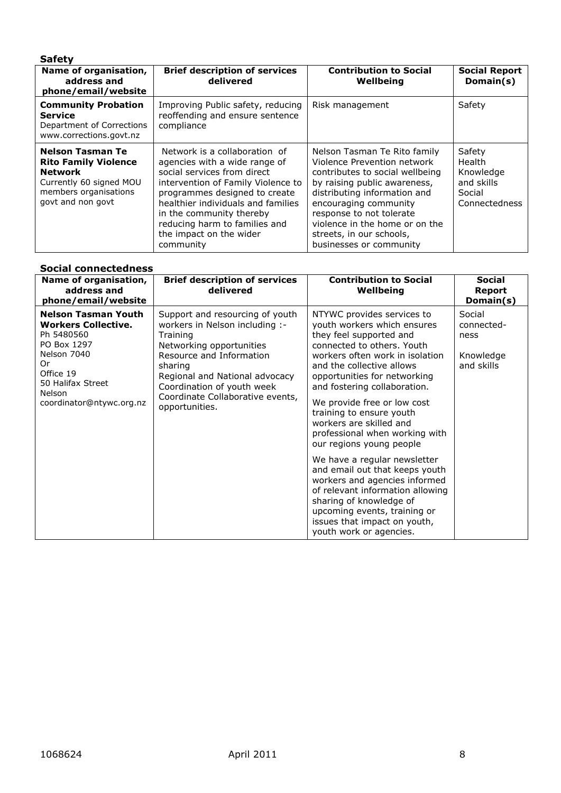| <b>Safety</b>                                                                                                                                     |                                                                                                                                                                                                                                                                                                                 |                                                                                                                                                                                                                                                                                                              |                                                                        |
|---------------------------------------------------------------------------------------------------------------------------------------------------|-----------------------------------------------------------------------------------------------------------------------------------------------------------------------------------------------------------------------------------------------------------------------------------------------------------------|--------------------------------------------------------------------------------------------------------------------------------------------------------------------------------------------------------------------------------------------------------------------------------------------------------------|------------------------------------------------------------------------|
| Name of organisation,<br>address and<br>phone/email/website                                                                                       | <b>Brief description of services</b><br>delivered                                                                                                                                                                                                                                                               | <b>Contribution to Social</b><br>Wellbeing                                                                                                                                                                                                                                                                   | <b>Social Report</b><br>Domain(s)                                      |
| <b>Community Probation</b><br><b>Service</b><br>Department of Corrections<br>www.corrections.govt.nz                                              | Improving Public safety, reducing<br>reoffending and ensure sentence<br>compliance                                                                                                                                                                                                                              | Risk management                                                                                                                                                                                                                                                                                              | Safety                                                                 |
| <b>Nelson Tasman Te</b><br><b>Rito Family Violence</b><br><b>Network</b><br>Currently 60 signed MOU<br>members organisations<br>govt and non govt | Network is a collaboration of<br>agencies with a wide range of<br>social services from direct<br>intervention of Family Violence to<br>programmes designed to create<br>healthier individuals and families<br>in the community thereby<br>reducing harm to families and<br>the impact on the wider<br>community | Nelson Tasman Te Rito family<br>Violence Prevention network<br>contributes to social wellbeing<br>by raising public awareness,<br>distributing information and<br>encouraging community<br>response to not tolerate<br>violence in the home or on the<br>streets, in our schools,<br>businesses or community | Safety<br>Health<br>Knowledge<br>and skills<br>Social<br>Connectedness |

#### **Social connectedness**

| Name of organisation,<br>address and<br>phone/email/website                                                                                                                               | <b>Brief description of services</b><br>delivered                                                                                                                                                                                                                      | <b>Contribution to Social</b><br>Wellbeing                                                                                                                                                                                                                                                                                                                                                                                                                                                                                                                                                                                                                          | <b>Social</b><br><b>Report</b><br>Domain(s)             |
|-------------------------------------------------------------------------------------------------------------------------------------------------------------------------------------------|------------------------------------------------------------------------------------------------------------------------------------------------------------------------------------------------------------------------------------------------------------------------|---------------------------------------------------------------------------------------------------------------------------------------------------------------------------------------------------------------------------------------------------------------------------------------------------------------------------------------------------------------------------------------------------------------------------------------------------------------------------------------------------------------------------------------------------------------------------------------------------------------------------------------------------------------------|---------------------------------------------------------|
| <b>Nelson Tasman Youth</b><br><b>Workers Collective.</b><br>Ph 5480560<br>PO Box 1297<br>Nelson 7040<br>Or<br>Office 19<br>50 Halifax Street<br><b>Nelson</b><br>coordinator@ntywc.org.nz | Support and resourcing of youth<br>workers in Nelson including :-<br>Training<br>Networking opportunities<br>Resource and Information<br>sharing<br>Regional and National advocacy<br>Coordination of youth week<br>Coordinate Collaborative events,<br>opportunities. | NTYWC provides services to<br>youth workers which ensures<br>they feel supported and<br>connected to others. Youth<br>workers often work in isolation<br>and the collective allows<br>opportunities for networking<br>and fostering collaboration.<br>We provide free or low cost<br>training to ensure youth<br>workers are skilled and<br>professional when working with<br>our regions young people<br>We have a regular newsletter<br>and email out that keeps youth<br>workers and agencies informed<br>of relevant information allowing<br>sharing of knowledge of<br>upcoming events, training or<br>issues that impact on youth,<br>youth work or agencies. | Social<br>connected-<br>ness<br>Knowledge<br>and skills |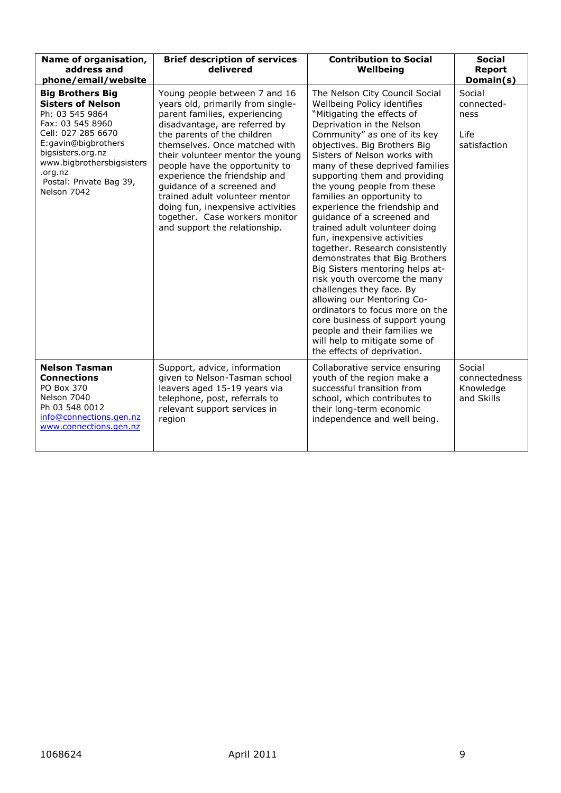| Name of organisation,<br>address and<br>phone/email/website                                                                                                                                                                                    | <b>Brief description of services</b><br>delivered                                                                                                                                                                                                                                                                                                                                                                                                                                   | <b>Contribution to Social</b><br>Wellbeing                                                                                                                                                                                                                                                                                                                                                                                                                                                                                                                                                                                                                                                                                                                                                                                                                      | <b>Social</b><br><b>Report</b><br>Domain(s)          |
|------------------------------------------------------------------------------------------------------------------------------------------------------------------------------------------------------------------------------------------------|-------------------------------------------------------------------------------------------------------------------------------------------------------------------------------------------------------------------------------------------------------------------------------------------------------------------------------------------------------------------------------------------------------------------------------------------------------------------------------------|-----------------------------------------------------------------------------------------------------------------------------------------------------------------------------------------------------------------------------------------------------------------------------------------------------------------------------------------------------------------------------------------------------------------------------------------------------------------------------------------------------------------------------------------------------------------------------------------------------------------------------------------------------------------------------------------------------------------------------------------------------------------------------------------------------------------------------------------------------------------|------------------------------------------------------|
| <b>Big Brothers Big</b><br><b>Sisters of Nelson</b><br>Ph: 03 545 9864<br>Fax: 03 545 8960<br>Cell: 027 285 6670<br>E:gavin@bigbrothers<br>bigsisters.org.nz<br>www.bigbrothersbigsisters<br>.org.nz<br>Postal: Private Bag 39,<br>Nelson 7042 | Young people between 7 and 16<br>years old, primarily from single-<br>parent families, experiencing<br>disadvantage, are referred by<br>the parents of the children<br>themselves. Once matched with<br>their volunteer mentor the young<br>people have the opportunity to<br>experience the friendship and<br>quidance of a screened and<br>trained adult volunteer mentor<br>doing fun, inexpensive activities<br>together. Case workers monitor<br>and support the relationship. | The Nelson City Council Social<br>Wellbeing Policy identifies<br>"Mitigating the effects of<br>Deprivation in the Nelson<br>Community" as one of its key<br>objectives. Big Brothers Big<br>Sisters of Nelson works with<br>many of these deprived families<br>supporting them and providing<br>the young people from these<br>families an opportunity to<br>experience the friendship and<br>quidance of a screened and<br>trained adult volunteer doing<br>fun, inexpensive activities<br>together. Research consistently<br>demonstrates that Big Brothers<br>Big Sisters mentoring helps at-<br>risk youth overcome the many<br>challenges they face. By<br>allowing our Mentoring Co-<br>ordinators to focus more on the<br>core business of support young<br>people and their families we<br>will help to mitigate some of<br>the effects of deprivation. | Social<br>connected-<br>ness<br>Life<br>satisfaction |
| <b>Nelson Tasman</b><br><b>Connections</b><br>PO Box 370<br>Nelson 7040<br>Ph 03 548 0012<br>info@connections.gen.nz<br>www.connections.gen.nz                                                                                                 | Support, advice, information<br>given to Nelson-Tasman school<br>leavers aged 15-19 years via<br>telephone, post, referrals to<br>relevant support services in<br>region                                                                                                                                                                                                                                                                                                            | Collaborative service ensuring<br>youth of the region make a<br>successful transition from<br>school, which contributes to<br>their long-term economic<br>independence and well being.                                                                                                                                                                                                                                                                                                                                                                                                                                                                                                                                                                                                                                                                          | Social<br>connectedness<br>Knowledge<br>and Skills   |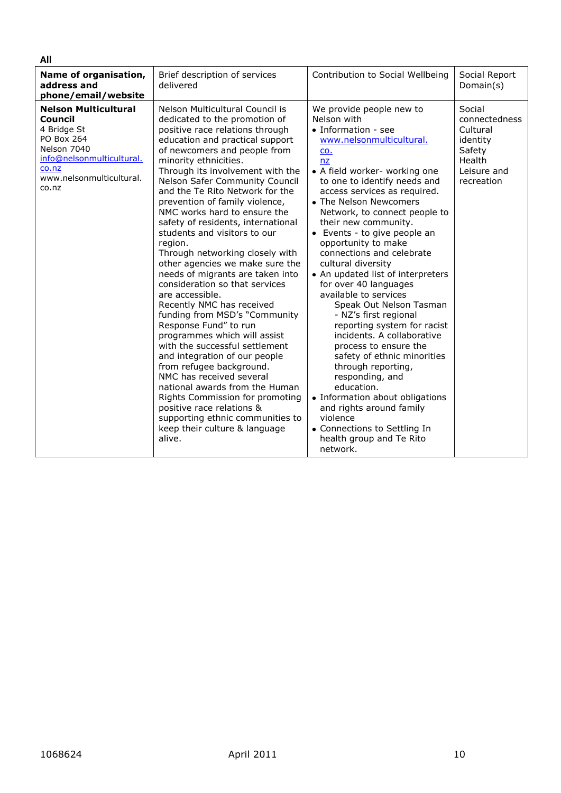| All                                                                                                                                                           |                                                                                                                                                                                                                                                                                                                                                                                                                                                                                                                                                                                                                                                                                                                                                                                                                                                                                                                                                                                                                                                               |                                                                                                                                                                                                                                                                                                                                                                                                                                                                                                                                                                                                                                                                                                                                                                                                                                                                                 |                                                                                                  |
|---------------------------------------------------------------------------------------------------------------------------------------------------------------|---------------------------------------------------------------------------------------------------------------------------------------------------------------------------------------------------------------------------------------------------------------------------------------------------------------------------------------------------------------------------------------------------------------------------------------------------------------------------------------------------------------------------------------------------------------------------------------------------------------------------------------------------------------------------------------------------------------------------------------------------------------------------------------------------------------------------------------------------------------------------------------------------------------------------------------------------------------------------------------------------------------------------------------------------------------|---------------------------------------------------------------------------------------------------------------------------------------------------------------------------------------------------------------------------------------------------------------------------------------------------------------------------------------------------------------------------------------------------------------------------------------------------------------------------------------------------------------------------------------------------------------------------------------------------------------------------------------------------------------------------------------------------------------------------------------------------------------------------------------------------------------------------------------------------------------------------------|--------------------------------------------------------------------------------------------------|
| Name of organisation,<br>address and<br>phone/email/website                                                                                                   | Brief description of services<br>delivered                                                                                                                                                                                                                                                                                                                                                                                                                                                                                                                                                                                                                                                                                                                                                                                                                                                                                                                                                                                                                    | Contribution to Social Wellbeing                                                                                                                                                                                                                                                                                                                                                                                                                                                                                                                                                                                                                                                                                                                                                                                                                                                | Social Report<br>Domain(s)                                                                       |
| <b>Nelson Multicultural</b><br>Council<br>4 Bridge St<br>PO Box 264<br>Nelson 7040<br>info@nelsonmulticultural.<br>co.nz<br>www.nelsonmulticultural.<br>co.nz | Nelson Multicultural Council is<br>dedicated to the promotion of<br>positive race relations through<br>education and practical support<br>of newcomers and people from<br>minority ethnicities.<br>Through its involvement with the<br>Nelson Safer Community Council<br>and the Te Rito Network for the<br>prevention of family violence,<br>NMC works hard to ensure the<br>safety of residents, international<br>students and visitors to our<br>region.<br>Through networking closely with<br>other agencies we make sure the<br>needs of migrants are taken into<br>consideration so that services<br>are accessible.<br>Recently NMC has received<br>funding from MSD's "Community<br>Response Fund" to run<br>programmes which will assist<br>with the successful settlement<br>and integration of our people<br>from refugee background.<br>NMC has received several<br>national awards from the Human<br>Rights Commission for promoting<br>positive race relations &<br>supporting ethnic communities to<br>keep their culture & language<br>alive. | We provide people new to<br>Nelson with<br>• Information - see<br>www.nelsonmulticultural.<br>CO.<br>nz<br>• A field worker- working one<br>to one to identify needs and<br>access services as required.<br>• The Nelson Newcomers<br>Network, to connect people to<br>their new community.<br>• Events - to give people an<br>opportunity to make<br>connections and celebrate<br>cultural diversity<br>• An updated list of interpreters<br>for over 40 languages<br>available to services<br>Speak Out Nelson Tasman<br>- NZ's first regional<br>reporting system for racist<br>incidents. A collaborative<br>process to ensure the<br>safety of ethnic minorities<br>through reporting,<br>responding, and<br>education.<br>• Information about obligations<br>and rights around family<br>violence<br>• Connections to Settling In<br>health group and Te Rito<br>network. | Social<br>connectedness<br>Cultural<br>identity<br>Safety<br>Health<br>Leisure and<br>recreation |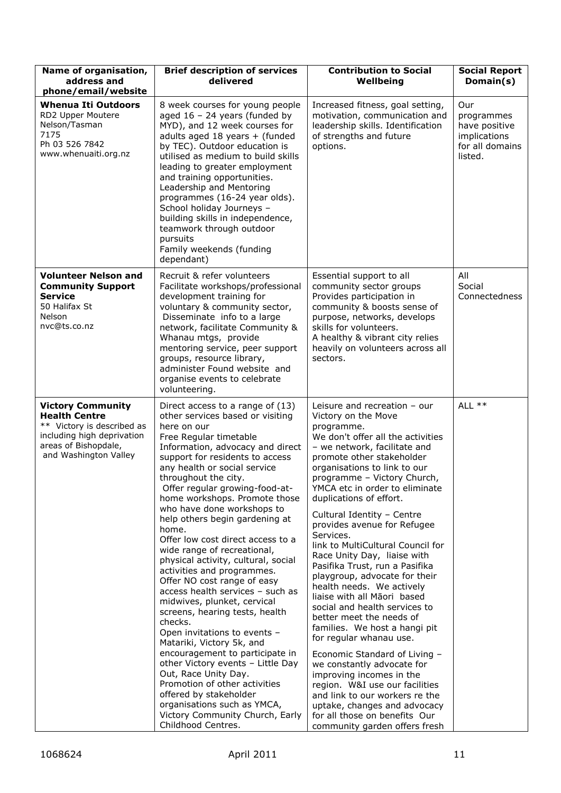| Name of organisation,<br>address and<br>phone/email/website                                                                                                   | <b>Brief description of services</b><br>delivered                                                                                                                                                                                                                                                                                                                                                                                                                                                                                                                                                                                                                                                                                                                                                                                                                                                                                                                                                | <b>Contribution to Social</b><br>Wellbeing                                                                                                                                                                                                                                                                                                                                                                                                                                                                                                                                                                                                                                                                                                                                                                                                                                                                                                                               | <b>Social Report</b><br>Domain(s)                                                |
|---------------------------------------------------------------------------------------------------------------------------------------------------------------|--------------------------------------------------------------------------------------------------------------------------------------------------------------------------------------------------------------------------------------------------------------------------------------------------------------------------------------------------------------------------------------------------------------------------------------------------------------------------------------------------------------------------------------------------------------------------------------------------------------------------------------------------------------------------------------------------------------------------------------------------------------------------------------------------------------------------------------------------------------------------------------------------------------------------------------------------------------------------------------------------|--------------------------------------------------------------------------------------------------------------------------------------------------------------------------------------------------------------------------------------------------------------------------------------------------------------------------------------------------------------------------------------------------------------------------------------------------------------------------------------------------------------------------------------------------------------------------------------------------------------------------------------------------------------------------------------------------------------------------------------------------------------------------------------------------------------------------------------------------------------------------------------------------------------------------------------------------------------------------|----------------------------------------------------------------------------------|
| <b>Whenua Iti Outdoors</b><br>RD2 Upper Moutere<br>Nelson/Tasman<br>7175<br>Ph 03 526 7842<br>www.whenuaiti.org.nz                                            | 8 week courses for young people<br>aged $16 - 24$ years (funded by<br>MYD), and 12 week courses for<br>adults aged 18 years + (funded<br>by TEC). Outdoor education is<br>utilised as medium to build skills<br>leading to greater employment<br>and training opportunities.<br>Leadership and Mentoring<br>programmes (16-24 year olds).<br>School holiday Journeys -<br>building skills in independence,<br>teamwork through outdoor<br>pursuits<br>Family weekends (funding<br>dependant)                                                                                                                                                                                                                                                                                                                                                                                                                                                                                                     | Increased fitness, goal setting,<br>motivation, communication and<br>leadership skills. Identification<br>of strengths and future<br>options.                                                                                                                                                                                                                                                                                                                                                                                                                                                                                                                                                                                                                                                                                                                                                                                                                            | Our<br>programmes<br>have positive<br>implications<br>for all domains<br>listed. |
| <b>Volunteer Nelson and</b><br><b>Community Support</b><br><b>Service</b><br>50 Halifax St<br>Nelson<br>nvc@ts.co.nz                                          | Recruit & refer volunteers<br>Facilitate workshops/professional<br>development training for<br>voluntary & community sector,<br>Disseminate info to a large<br>network, facilitate Community &<br>Whanau mtgs, provide<br>mentoring service, peer support<br>groups, resource library,<br>administer Found website and<br>organise events to celebrate<br>volunteering.                                                                                                                                                                                                                                                                                                                                                                                                                                                                                                                                                                                                                          | Essential support to all<br>community sector groups<br>Provides participation in<br>community & boosts sense of<br>purpose, networks, develops<br>skills for volunteers.<br>A healthy & vibrant city relies<br>heavily on volunteers across all<br>sectors.                                                                                                                                                                                                                                                                                                                                                                                                                                                                                                                                                                                                                                                                                                              | All<br>Social<br>Connectedness                                                   |
| <b>Victory Community</b><br><b>Health Centre</b><br>** Victory is described as<br>including high deprivation<br>areas of Bishopdale,<br>and Washington Valley | Direct access to a range of (13)<br>other services based or visiting<br>here on our<br>Free Regular timetable<br>Information, advocacy and direct<br>support for residents to access<br>any health or social service<br>throughout the city.<br>Offer regular growing-food-at-<br>home workshops. Promote those<br>who have done workshops to<br>help others begin gardening at<br>home.<br>Offer low cost direct access to a<br>wide range of recreational,<br>physical activity, cultural, social<br>activities and programmes.<br>Offer NO cost range of easy<br>access health services - such as<br>midwives, plunket, cervical<br>screens, hearing tests, health<br>checks.<br>Open invitations to events -<br>Matariki, Victory 5k, and<br>encouragement to participate in<br>other Victory events - Little Day<br>Out, Race Unity Day.<br>Promotion of other activities<br>offered by stakeholder<br>organisations such as YMCA,<br>Victory Community Church, Early<br>Childhood Centres. | Leisure and recreation $-$ our<br>Victory on the Move<br>programme.<br>We don't offer all the activities<br>- we network, facilitate and<br>promote other stakeholder<br>organisations to link to our<br>programme - Victory Church,<br>YMCA etc in order to eliminate<br>duplications of effort.<br>Cultural Identity - Centre<br>provides avenue for Refugee<br>Services.<br>link to MultiCultural Council for<br>Race Unity Day, liaise with<br>Pasifika Trust, run a Pasifika<br>playgroup, advocate for their<br>health needs. We actively<br>liaise with all Māori based<br>social and health services to<br>better meet the needs of<br>families. We host a hangi pit<br>for regular whanau use.<br>Economic Standard of Living -<br>we constantly advocate for<br>improving incomes in the<br>region. W&I use our facilities<br>and link to our workers re the<br>uptake, changes and advocacy<br>for all those on benefits Our<br>community garden offers fresh | ALL **                                                                           |